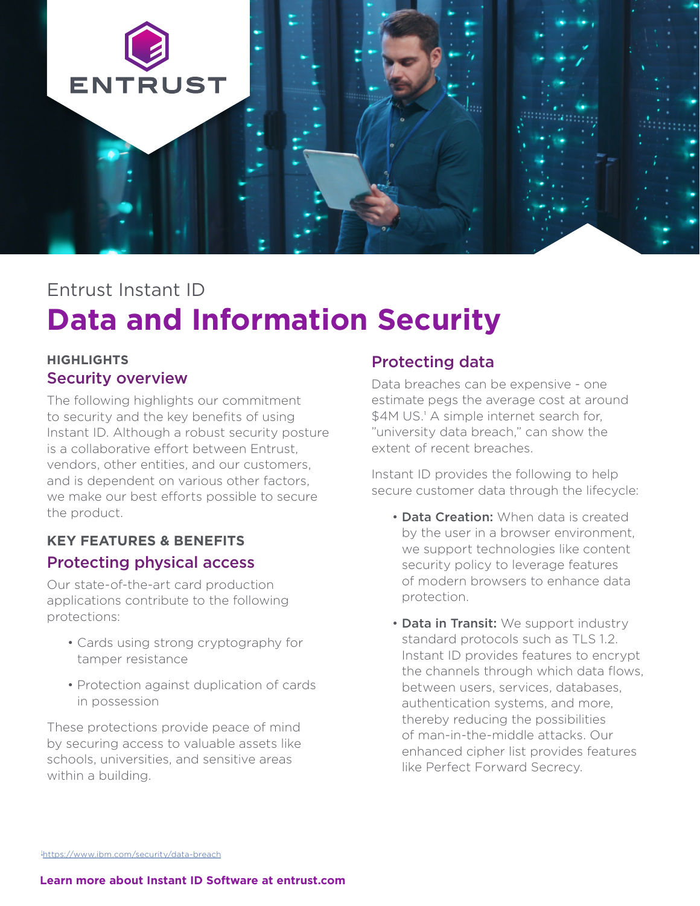

## Entrust Instant ID

# **Data and Information Security**

#### **HIGHLIGHTS**  Security overview

The following highlights our commitment to security and the key benefits of using Instant ID. Although a robust security posture is a collaborative effort between Entrust, vendors, other entities, and our customers, and is dependent on various other factors, we make our best efforts possible to secure the product.

## **KEY FEATURES & BENEFITS**  Protecting physical access

Our state-of-the-art card production applications contribute to the following protections:

- Cards using strong cryptography for tamper resistance
- Protection against duplication of cards in possession

These protections provide peace of mind by securing access to valuable assets like schools, universities, and sensitive areas within a building.

### Protecting data

Data breaches can be expensive - one estimate pegs the average cost at around \$4M US.<sup>1</sup> A simple internet search for, "university data breach," can show the extent of recent breaches.

Instant ID provides the following to help secure customer data through the lifecycle:

- **Data Creation:** When data is created by the user in a browser environment, we support technologies like content security policy to leverage features of modern browsers to enhance data protection.
- Data in Transit: We support industry standard protocols such as TLS 1.2. Instant ID provides features to encrypt the channels through which data flows, between users, services, databases, authentication systems, and more, thereby reducing the possibilities of man-in-the-middle attacks. Our enhanced cipher list provides features like Perfect Forward Secrecy.

1 <https://www.ibm.com/security/data-breach>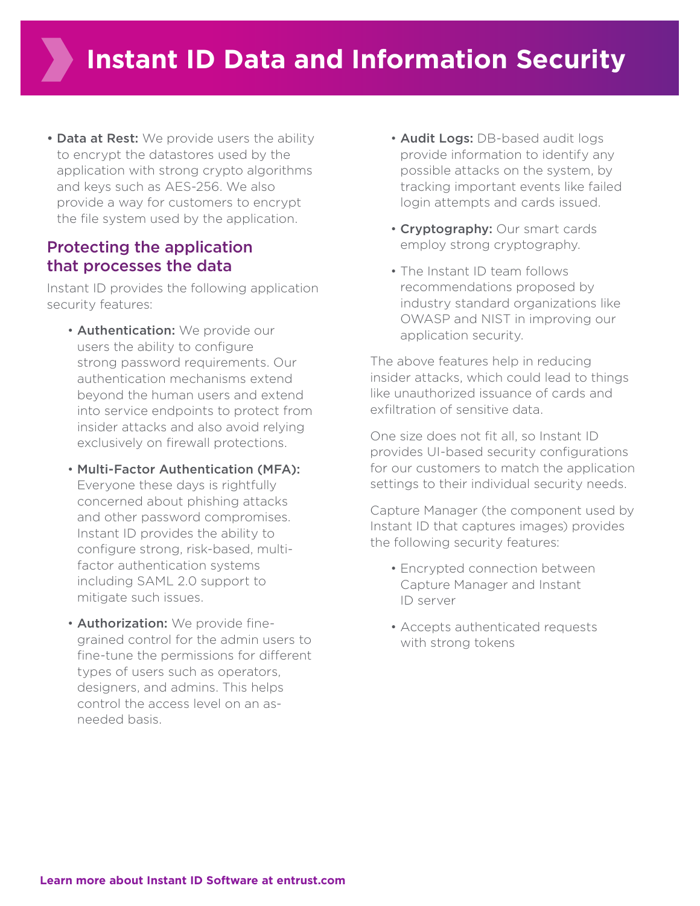• Data at Rest: We provide users the ability to encrypt the datastores used by the application with strong crypto algorithms and keys such as AES-256. We also provide a way for customers to encrypt the file system used by the application.

#### Protecting the application that processes the data

Instant ID provides the following application security features:

- **Authentication:** We provide our users the ability to configure strong password requirements. Our authentication mechanisms extend beyond the human users and extend into service endpoints to protect from insider attacks and also avoid relying exclusively on firewall protections.
- Multi-Factor Authentication (MFA): Everyone these days is rightfully concerned about phishing attacks and other password compromises. Instant ID provides the ability to configure strong, risk-based, multifactor authentication systems including SAML 2.0 support to mitigate such issues.
- **Authorization:** We provide finegrained control for the admin users to fine-tune the permissions for different types of users such as operators, designers, and admins. This helps control the access level on an asneeded basis.
- Audit Logs: DB-based audit logs provide information to identify any possible attacks on the system, by tracking important events like failed login attempts and cards issued.
- Cryptography: Our smart cards employ strong cryptography.
- The Instant ID team follows recommendations proposed by industry standard organizations like OWASP and NIST in improving our application security.

The above features help in reducing insider attacks, which could lead to things like unauthorized issuance of cards and exfiltration of sensitive data.

One size does not fit all, so Instant ID provides UI-based security configurations for our customers to match the application settings to their individual security needs.

Capture Manager (the component used by Instant ID that captures images) provides the following security features:

- Encrypted connection between Capture Manager and Instant ID server
- Accepts authenticated requests with strong tokens